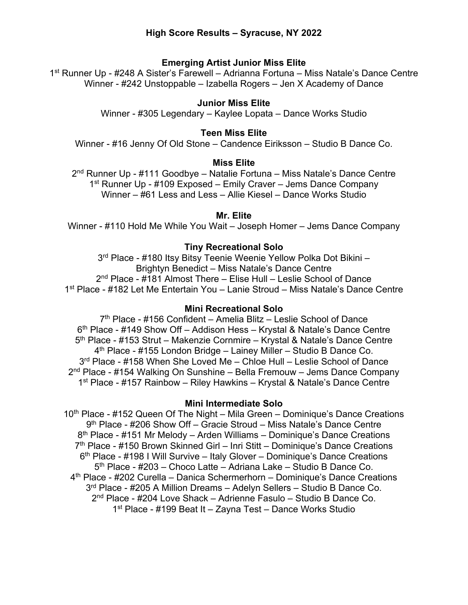# **Emerging Artist Junior Miss Elite**

1st Runner Up - #248 A Sister's Farewell – Adrianna Fortuna – Miss Natale's Dance Centre Winner - #242 Unstoppable – Izabella Rogers – Jen X Academy of Dance

# **Junior Miss Elite**

Winner - #305 Legendary – Kaylee Lopata – Dance Works Studio

# **Teen Miss Elite**

Winner - #16 Jenny Of Old Stone – Candence Eiriksson – Studio B Dance Co.

# **Miss Elite**

2<sup>nd</sup> Runner Up - #111 Goodbye – Natalie Fortuna – Miss Natale's Dance Centre 1st Runner Up - #109 Exposed – Emily Craver – Jems Dance Company Winner – #61 Less and Less – Allie Kiesel – Dance Works Studio

# **Mr. Elite**

Winner - #110 Hold Me While You Wait – Joseph Homer – Jems Dance Company

# **Tiny Recreational Solo**

3rd Place - #180 Itsy Bitsy Teenie Weenie Yellow Polka Dot Bikini – Brightyn Benedict – Miss Natale's Dance Centre 2nd Place - #181 Almost There – Elise Hull – Leslie School of Dance 1st Place - #182 Let Me Entertain You – Lanie Stroud – Miss Natale's Dance Centre

# **Mini Recreational Solo**

 $7<sup>th</sup>$  Place - #156 Confident – Amelia Blitz – Leslie School of Dance 6th Place - #149 Show Off – Addison Hess – Krystal & Natale's Dance Centre 5<sup>th</sup> Place - #153 Strut – Makenzie Cornmire – Krystal & Natale's Dance Centre  $4<sup>th</sup>$  Place - #155 London Bridge – Lainey Miller – Studio B Dance Co. 3<sup>rd</sup> Place - #158 When She Loved Me – Chloe Hull – Leslie School of Dance 2nd Place - #154 Walking On Sunshine – Bella Fremouw – Jems Dance Company 1st Place - #157 Rainbow – Riley Hawkins – Krystal & Natale's Dance Centre

# **Mini Intermediate Solo**

10th Place - #152 Queen Of The Night – Mila Green – Dominique's Dance Creations 9th Place - #206 Show Off – Gracie Stroud – Miss Natale's Dance Centre 8<sup>th</sup> Place - #151 Mr Melody – Arden Williams – Dominique's Dance Creations 7<sup>th</sup> Place - #150 Brown Skinned Girl – Inri Stitt – Dominique's Dance Creations  $6<sup>th</sup>$  Place - #198 I Will Survive – Italy Glover – Dominique's Dance Creations 5th Place - #203 – Choco Latte – Adriana Lake – Studio B Dance Co. 4th Place - #202 Curella – Danica Schermerhorn – Dominique's Dance Creations 3<sup>rd</sup> Place - #205 A Million Dreams – Adelyn Sellers – Studio B Dance Co. 2nd Place - #204 Love Shack – Adrienne Fasulo – Studio B Dance Co. 1st Place - #199 Beat It – Zayna Test – Dance Works Studio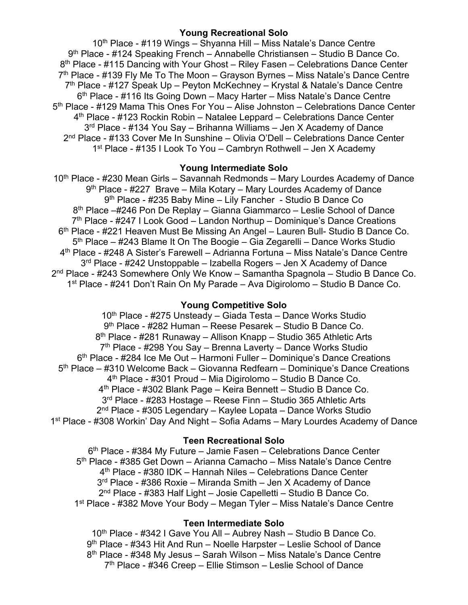## **Young Recreational Solo**

10<sup>th</sup> Place - #119 Wings – Shyanna Hill – Miss Natale's Dance Centre 9<sup>th</sup> Place - #124 Speaking French – Annabelle Christiansen – Studio B Dance Co. 8<sup>th</sup> Place - #115 Dancing with Your Ghost – Riley Fasen – Celebrations Dance Center 7<sup>th</sup> Place - #139 Fly Me To The Moon – Grayson Byrnes – Miss Natale's Dance Centre  $7<sup>th</sup>$  Place - #127 Speak Up – Peyton McKechney – Krystal & Natale's Dance Centre 6<sup>th</sup> Place - #116 Its Going Down – Macy Harter – Miss Natale's Dance Centre 5th Place - #129 Mama This Ones For You – Alise Johnston – Celebrations Dance Center 4th Place - #123 Rockin Robin – Natalee Leppard – Celebrations Dance Center 3<sup>rd</sup> Place - #134 You Say – Brihanna Williams – Jen X Academy of Dance 2nd Place - #133 Cover Me In Sunshine – Olivia O'Dell – Celebrations Dance Center 1st Place - #135 I Look To You – Cambryn Rothwell – Jen X Academy

# **Young Intermediate Solo**

10<sup>th</sup> Place - #230 Mean Girls – Savannah Redmonds – Mary Lourdes Academy of Dance 9<sup>th</sup> Place - #227 Brave – Mila Kotary – Mary Lourdes Academy of Dance 9<sup>th</sup> Place - #235 Baby Mine – Lily Fancher - Studio B Dance Co 8th Place –#246 Pon De Replay – Gianna Giammarco – Leslie School of Dance  $7<sup>th</sup>$  Place - #247 I Look Good – Landon Northup – Dominique's Dance Creations 6th Place - #221 Heaven Must Be Missing An Angel – Lauren Bull- Studio B Dance Co. 5<sup>th</sup> Place – #243 Blame It On The Boogie – Gia Zegarelli – Dance Works Studio 4th Place - #248 A Sister's Farewell – Adrianna Fortuna – Miss Natale's Dance Centre 3rd Place - #242 Unstoppable – Izabella Rogers – Jen X Academy of Dance 2<sup>nd</sup> Place - #243 Somewhere Only We Know – Samantha Spagnola – Studio B Dance Co. 1st Place - #241 Don't Rain On My Parade – Ava Digirolomo – Studio B Dance Co.

# **Young Competitive Solo**

10<sup>th</sup> Place - #275 Unsteady – Giada Testa – Dance Works Studio 9th Place - #282 Human – Reese Pesarek – Studio B Dance Co. 8th Place - #281 Runaway – Allison Knapp – Studio 365 Athletic Arts  $7<sup>th</sup>$  Place - #298 You Say – Brenna Laverty – Dance Works Studio 6th Place - #284 Ice Me Out – Harmoni Fuller – Dominique's Dance Creations 5th Place – #310 Welcome Back – Giovanna Redfearn – Dominique's Dance Creations 4th Place - #301 Proud – Mia Digirolomo – Studio B Dance Co. 4th Place - #302 Blank Page – Keira Bennett – Studio B Dance Co. 3rd Place - #283 Hostage – Reese Finn – Studio 365 Athletic Arts 2nd Place - #305 Legendary – Kaylee Lopata – Dance Works Studio 1st Place - #308 Workin' Day And Night – Sofia Adams – Mary Lourdes Academy of Dance

# **Teen Recreational Solo**

6<sup>th</sup> Place - #384 My Future – Jamie Fasen – Celebrations Dance Center 5th Place - #385 Get Down – Arianna Camacho – Miss Natale's Dance Centre 4th Place - #380 IDK – Hannah Niles – Celebrations Dance Center 3rd Place - #386 Roxie – Miranda Smith – Jen X Academy of Dance 2nd Place - #383 Half Light – Josie Capelletti – Studio B Dance Co. 1<sup>st</sup> Place - #382 Move Your Body – Megan Tyler – Miss Natale's Dance Centre

# **Teen Intermediate Solo**

10<sup>th</sup> Place - #342 I Gave You All – Aubrey Nash – Studio B Dance Co. 9th Place - #343 Hit And Run – Noelle Harpster – Leslie School of Dance 8<sup>th</sup> Place - #348 My Jesus – Sarah Wilson – Miss Natale's Dance Centre 7th Place - #346 Creep – Ellie Stimson – Leslie School of Dance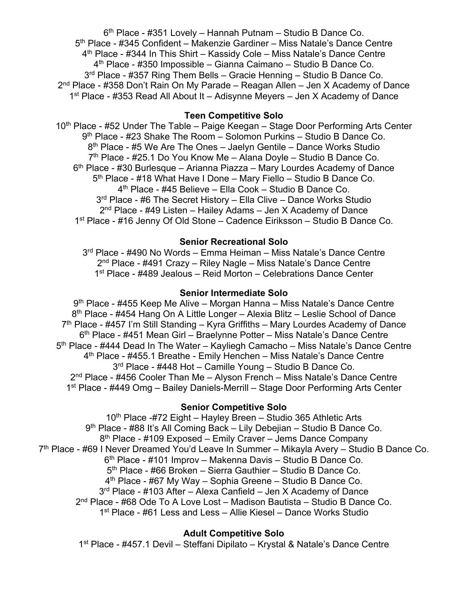6th Place - #351 Lovely – Hannah Putnam – Studio B Dance Co. 5<sup>th</sup> Place - #345 Confident – Makenzie Gardiner – Miss Natale's Dance Centre  $4<sup>th</sup>$  Place - #344 In This Shirt – Kassidy Cole – Miss Natale's Dance Centre 4th Place - #350 Impossible – Gianna Caimano – Studio B Dance Co. 3<sup>rd</sup> Place - #357 Ring Them Bells – Gracie Henning – Studio B Dance Co.  $2<sup>nd</sup>$  Place - #358 Don't Rain On My Parade – Reagan Allen – Jen X Academy of Dance 1st Place - #353 Read All About It – Adisynne Meyers – Jen X Academy of Dance

## **Teen Competitive Solo**

10<sup>th</sup> Place - #52 Under The Table – Paige Keegan – Stage Door Performing Arts Center 9<sup>th</sup> Place - #23 Shake The Room - Solomon Purkins - Studio B Dance Co. 8<sup>th</sup> Place - #5 We Are The Ones - Jaelyn Gentile - Dance Works Studio 7<sup>th</sup> Place - #25.1 Do You Know Me – Alana Doyle – Studio B Dance Co. 6<sup>th</sup> Place - #30 Burlesque – Arianna Piazza – Mary Lourdes Academy of Dance 5<sup>th</sup> Place - #18 What Have I Done – Mary Fiello – Studio B Dance Co. 4th Place - #45 Believe – Ella Cook – Studio B Dance Co. 3<sup>rd</sup> Place - #6 The Secret History – Ella Clive – Dance Works Studio  $2<sup>nd</sup>$  Place - #49 Listen – Hailey Adams – Jen X Academy of Dance 1st Place - #16 Jenny Of Old Stone – Cadence Eiriksson – Studio B Dance Co.

## **Senior Recreational Solo**

3<sup>rd</sup> Place - #490 No Words – Emma Heiman – Miss Natale's Dance Centre 2nd Place - #491 Crazy – Riley Nagle – Miss Natale's Dance Centre 1st Place - #489 Jealous – Reid Morton – Celebrations Dance Center

#### **Senior Intermediate Solo**

9<sup>th</sup> Place - #455 Keep Me Alive – Morgan Hanna – Miss Natale's Dance Centre 8<sup>th</sup> Place - #454 Hang On A Little Longer – Alexia Blitz – Leslie School of Dance  $7<sup>th</sup>$  Place - #457 I'm Still Standing – Kyra Griffiths – Mary Lourdes Academy of Dance 6th Place - #451 Mean Girl – Braelynne Potter – Miss Natale's Dance Centre 5<sup>th</sup> Place - #444 Dead In The Water – Kayliegh Camacho – Miss Natale's Dance Centre 4th Place - #455.1 Breathe - Emily Henchen – Miss Natale's Dance Centre 3<sup>rd</sup> Place - #448 Hot - Camille Young - Studio B Dance Co. 2<sup>nd</sup> Place - #456 Cooler Than Me – Alyson French – Miss Natale's Dance Centre 1<sup>st</sup> Place - #449 Omg - Bailey Daniels-Merrill - Stage Door Performing Arts Center

# **Senior Competitive Solo**

10<sup>th</sup> Place -#72 Eight – Hayley Breen – Studio 365 Athletic Arts 9th Place - #88 It's All Coming Back – Lily Debejian – Studio B Dance Co. 8<sup>th</sup> Place - #109 Exposed – Emily Craver – Jems Dance Company 7<sup>th</sup> Place - #69 I Never Dreamed You'd Leave In Summer – Mikayla Avery – Studio B Dance Co. 6th Place - #101 Improv – Makenna Davis – Studio B Dance Co. 5th Place - #66 Broken – Sierra Gauthier – Studio B Dance Co.  $4<sup>th</sup>$  Place - #67 My Way – Sophia Greene – Studio B Dance Co.  $3<sup>rd</sup>$  Place - #103 After – Alexa Canfield – Jen X Academy of Dance 2nd Place - #68 Ode To A Love Lost – Madison Bautista – Studio B Dance Co. 1st Place - #61 Less and Less – Allie Kiesel – Dance Works Studio

# **Adult Competitive Solo**

1st Place - #457.1 Devil – Steffani Dipilato – Krystal & Natale's Dance Centre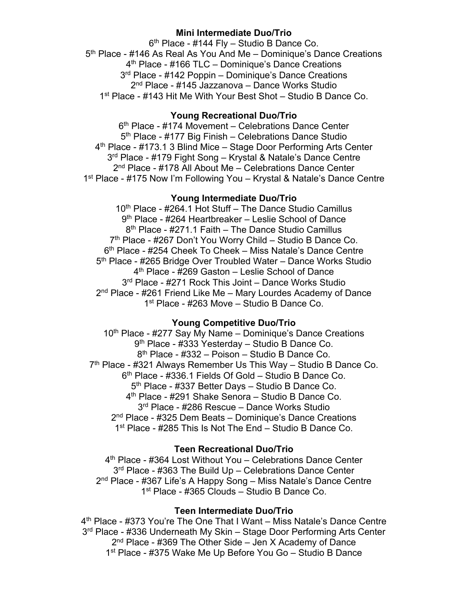## **Mini Intermediate Duo/Trio**

6th Place - #144 Fly – Studio B Dance Co. 5<sup>th</sup> Place - #146 As Real As You And Me – Dominique's Dance Creations 4<sup>th</sup> Place - #166 TLC – Dominique's Dance Creations 3<sup>rd</sup> Place - #142 Poppin – Dominique's Dance Creations 2<sup>nd</sup> Place - #145 Jazzanova – Dance Works Studio 1st Place - #143 Hit Me With Your Best Shot – Studio B Dance Co.

# **Young Recreational Duo/Trio**

6<sup>th</sup> Place - #174 Movement – Celebrations Dance Center 5<sup>th</sup> Place - #177 Big Finish – Celebrations Dance Studio 4<sup>th</sup> Place - #173.1 3 Blind Mice - Stage Door Performing Arts Center 3rd Place - #179 Fight Song – Krystal & Natale's Dance Centre 2<sup>nd</sup> Place - #178 All About Me – Celebrations Dance Center 1st Place - #175 Now I'm Following You – Krystal & Natale's Dance Centre

# **Young Intermediate Duo/Trio**

10<sup>th</sup> Place - #264.1 Hot Stuff – The Dance Studio Camillus 9th Place - #264 Heartbreaker – Leslie School of Dance 8<sup>th</sup> Place - #271.1 Faith – The Dance Studio Camillus 7<sup>th</sup> Place - #267 Don't You Worry Child – Studio B Dance Co. 6th Place - #254 Cheek To Cheek – Miss Natale's Dance Centre 5th Place - #265 Bridge Over Troubled Water – Dance Works Studio 4th Place - #269 Gaston – Leslie School of Dance 3rd Place - #271 Rock This Joint – Dance Works Studio 2<sup>nd</sup> Place - #261 Friend Like Me – Mary Lourdes Academy of Dance 1<sup>st</sup> Place - #263 Move – Studio B Dance Co.

# **Young Competitive Duo/Trio**

10<sup>th</sup> Place - #277 Say My Name – Dominique's Dance Creations 9th Place - #333 Yesterday – Studio B Dance Co. 8th Place - #332 – Poison – Studio B Dance Co. 7th Place - #321 Always Remember Us This Way – Studio B Dance Co. 6th Place - #336.1 Fields Of Gold – Studio B Dance Co. 5<sup>th</sup> Place - #337 Better Days - Studio B Dance Co. 4th Place - #291 Shake Senora – Studio B Dance Co. 3rd Place - #286 Rescue – Dance Works Studio 2<sup>nd</sup> Place - #325 Dem Beats – Dominique's Dance Creations 1<sup>st</sup> Place - #285 This Is Not The End – Studio B Dance Co.

# **Teen Recreational Duo/Trio**

4th Place - #364 Lost Without You – Celebrations Dance Center 3<sup>rd</sup> Place - #363 The Build Up – Celebrations Dance Center 2nd Place - #367 Life's A Happy Song – Miss Natale's Dance Centre 1st Place - #365 Clouds – Studio B Dance Co.

## **Teen Intermediate Duo/Trio**

4th Place - #373 You're The One That I Want – Miss Natale's Dance Centre 3<sup>rd</sup> Place - #336 Underneath My Skin – Stage Door Performing Arts Center 2<sup>nd</sup> Place - #369 The Other Side – Jen X Academy of Dance 1st Place - #375 Wake Me Up Before You Go – Studio B Dance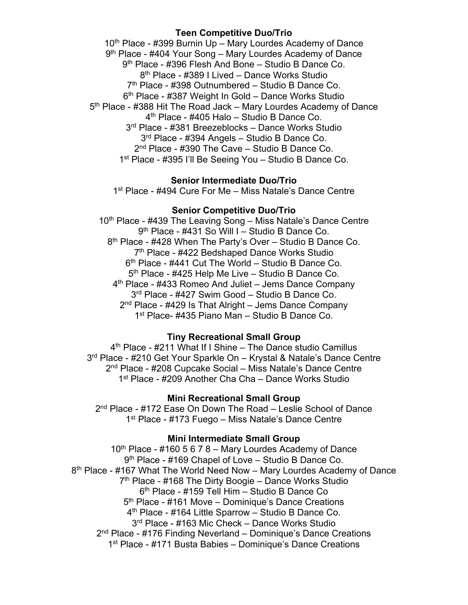## **Teen Competitive Duo/Trio**

10<sup>th</sup> Place - #399 Burnin Up – Mary Lourdes Academy of Dance 9th Place - #404 Your Song – Mary Lourdes Academy of Dance 9th Place - #396 Flesh And Bone – Studio B Dance Co. 8th Place - #389 I Lived – Dance Works Studio 7<sup>th</sup> Place - #398 Outnumbered - Studio B Dance Co. 6<sup>th</sup> Place - #387 Weight In Gold – Dance Works Studio 5<sup>th</sup> Place - #388 Hit The Road Jack – Mary Lourdes Academy of Dance 4th Place - #405 Halo – Studio B Dance Co. 3rd Place - #381 Breezeblocks – Dance Works Studio 3<sup>rd</sup> Place - #394 Angels – Studio B Dance Co. 2<sup>nd</sup> Place - #390 The Cave – Studio B Dance Co. 1<sup>st</sup> Place - #395 I'll Be Seeing You - Studio B Dance Co.

## **Senior Intermediate Duo/Trio**

1<sup>st</sup> Place - #494 Cure For Me – Miss Natale's Dance Centre

## **Senior Competitive Duo/Trio**

10<sup>th</sup> Place - #439 The Leaving Song – Miss Natale's Dance Centre 9th Place - #431 So Will I – Studio B Dance Co. 8<sup>th</sup> Place - #428 When The Party's Over - Studio B Dance Co. 7<sup>th</sup> Place - #422 Bedshaped Dance Works Studio  $6<sup>th</sup>$  Place - #441 Cut The World – Studio B Dance Co. 5<sup>th</sup> Place - #425 Help Me Live - Studio B Dance Co. 4<sup>th</sup> Place - #433 Romeo And Juliet – Jems Dance Company 3<sup>rd</sup> Place - #427 Swim Good – Studio B Dance Co.  $2<sup>nd</sup>$  Place - #429 Is That Alright – Jems Dance Company 1st Place- #435 Piano Man – Studio B Dance Co.

## **Tiny Recreational Small Group**

 $4<sup>th</sup>$  Place - #211 What If I Shine – The Dance studio Camillus 3rd Place - #210 Get Your Sparkle On – Krystal & Natale's Dance Centre 2<sup>nd</sup> Place - #208 Cupcake Social – Miss Natale's Dance Centre 1st Place - #209 Another Cha Cha – Dance Works Studio

### **Mini Recreational Small Group**

2<sup>nd</sup> Place - #172 Ease On Down The Road – Leslie School of Dance 1<sup>st</sup> Place - #173 Fuego – Miss Natale's Dance Centre

## **Mini Intermediate Small Group**

 $10<sup>th</sup>$  Place - #160 5 6 7 8 – Mary Lourdes Academy of Dance 9th Place - #169 Chapel of Love – Studio B Dance Co. 8<sup>th</sup> Place - #167 What The World Need Now – Mary Lourdes Academy of Dance  $7<sup>th</sup>$  Place - #168 The Dirty Boogie – Dance Works Studio 6th Place - #159 Tell Him – Studio B Dance Co 5<sup>th</sup> Place - #161 Move – Dominique's Dance Creations 4th Place - #164 Little Sparrow – Studio B Dance Co. 3rd Place - #163 Mic Check – Dance Works Studio 2<sup>nd</sup> Place - #176 Finding Neverland – Dominique's Dance Creations 1st Place - #171 Busta Babies – Dominique's Dance Creations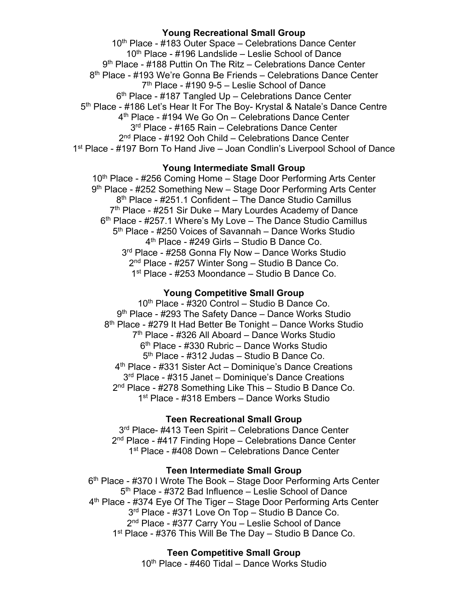# **Young Recreational Small Group**

10<sup>th</sup> Place - #183 Outer Space – Celebrations Dance Center 10th Place - #196 Landslide – Leslie School of Dance 9<sup>th</sup> Place - #188 Puttin On The Ritz – Celebrations Dance Center 8<sup>th</sup> Place - #193 We're Gonna Be Friends – Celebrations Dance Center  $7<sup>th</sup>$  Place - #190 9-5 – Leslie School of Dance 6<sup>th</sup> Place - #187 Tangled Up – Celebrations Dance Center 5th Place - #186 Let's Hear It For The Boy- Krystal & Natale's Dance Centre 4th Place - #194 We Go On – Celebrations Dance Center 3<sup>rd</sup> Place - #165 Rain – Celebrations Dance Center 2<sup>nd</sup> Place - #192 Ooh Child – Celebrations Dance Center 1<sup>st</sup> Place - #197 Born To Hand Jive – Joan Condlin's Liverpool School of Dance

# **Young Intermediate Small Group**

10<sup>th</sup> Place - #256 Coming Home – Stage Door Performing Arts Center 9th Place - #252 Something New – Stage Door Performing Arts Center 8<sup>th</sup> Place - #251.1 Confident – The Dance Studio Camillus  $7<sup>th</sup>$  Place - #251 Sir Duke – Mary Lourdes Academy of Dance  $6<sup>th</sup>$  Place - #257.1 Where's My Love – The Dance Studio Camillus 5<sup>th</sup> Place - #250 Voices of Savannah – Dance Works Studio 4th Place - #249 Girls – Studio B Dance Co. 3<sup>rd</sup> Place - #258 Gonna Fly Now – Dance Works Studio 2<sup>nd</sup> Place - #257 Winter Song - Studio B Dance Co. 1st Place - #253 Moondance – Studio B Dance Co.

## **Young Competitive Small Group**

10th Place - #320 Control – Studio B Dance Co. 9<sup>th</sup> Place - #293 The Safety Dance – Dance Works Studio 8<sup>th</sup> Place - #279 It Had Better Be Tonight – Dance Works Studio 7th Place - #326 All Aboard – Dance Works Studio 6th Place - #330 Rubric – Dance Works Studio 5th Place - #312 Judas – Studio B Dance Co. 4th Place - #331 Sister Act – Dominique's Dance Creations 3<sup>rd</sup> Place - #315 Janet – Dominique's Dance Creations 2<sup>nd</sup> Place - #278 Something Like This - Studio B Dance Co. 1<sup>st</sup> Place - #318 Embers – Dance Works Studio

# **Teen Recreational Small Group**

3<sup>rd</sup> Place- #413 Teen Spirit – Celebrations Dance Center 2<sup>nd</sup> Place - #417 Finding Hope – Celebrations Dance Center 1<sup>st</sup> Place - #408 Down – Celebrations Dance Center

# **Teen Intermediate Small Group**

6<sup>th</sup> Place - #370 I Wrote The Book – Stage Door Performing Arts Center 5<sup>th</sup> Place - #372 Bad Influence – Leslie School of Dance 4<sup>th</sup> Place - #374 Eye Of The Tiger – Stage Door Performing Arts Center 3<sup>rd</sup> Place - #371 Love On Top - Studio B Dance Co. 2nd Place - #377 Carry You – Leslie School of Dance 1<sup>st</sup> Place - #376 This Will Be The Day - Studio B Dance Co.

**Teen Competitive Small Group**

10<sup>th</sup> Place - #460 Tidal – Dance Works Studio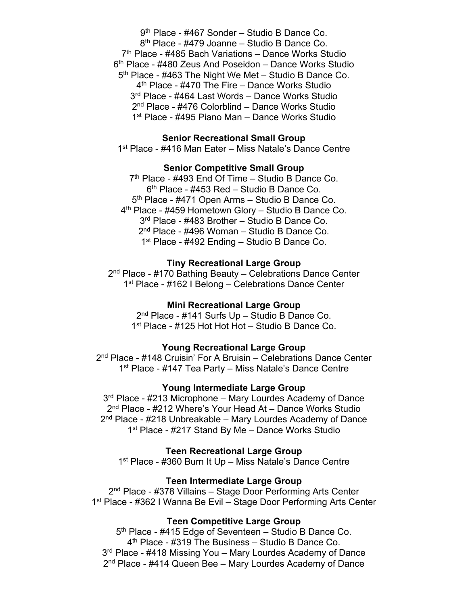9<sup>th</sup> Place - #467 Sonder – Studio B Dance Co. 8th Place - #479 Joanne – Studio B Dance Co.  $7<sup>th</sup>$  Place - #485 Bach Variations – Dance Works Studio 6<sup>th</sup> Place - #480 Zeus And Poseidon – Dance Works Studio 5<sup>th</sup> Place - #463 The Night We Met – Studio B Dance Co. 4th Place - #470 The Fire – Dance Works Studio 3<sup>rd</sup> Place - #464 Last Words – Dance Works Studio 2nd Place - #476 Colorblind – Dance Works Studio 1st Place - #495 Piano Man – Dance Works Studio

## **Senior Recreational Small Group**

1<sup>st</sup> Place - #416 Man Eater – Miss Natale's Dance Centre

## **Senior Competitive Small Group**

 $7<sup>th</sup>$  Place - #493 End Of Time – Studio B Dance Co. 6th Place - #453 Red – Studio B Dance Co. 5th Place - #471 Open Arms – Studio B Dance Co. 4<sup>th</sup> Place - #459 Hometown Glory - Studio B Dance Co. 3<sup>rd</sup> Place - #483 Brother – Studio B Dance Co. 2<sup>nd</sup> Place - #496 Woman - Studio B Dance Co. 1<sup>st</sup> Place - #492 Ending – Studio B Dance Co.

#### **Tiny Recreational Large Group**

2<sup>nd</sup> Place - #170 Bathing Beauty – Celebrations Dance Center 1<sup>st</sup> Place - #162 I Belong – Celebrations Dance Center

#### **Mini Recreational Large Group**

2nd Place - #141 Surfs Up – Studio B Dance Co. 1<sup>st</sup> Place - #125 Hot Hot Hot – Studio B Dance Co.

#### **Young Recreational Large Group**

2<sup>nd</sup> Place - #148 Cruisin' For A Bruisin – Celebrations Dance Center 1<sup>st</sup> Place - #147 Tea Party – Miss Natale's Dance Centre

## **Young Intermediate Large Group**

3<sup>rd</sup> Place - #213 Microphone – Mary Lourdes Academy of Dance 2<sup>nd</sup> Place - #212 Where's Your Head At – Dance Works Studio 2<sup>nd</sup> Place - #218 Unbreakable – Mary Lourdes Academy of Dance 1<sup>st</sup> Place - #217 Stand By Me – Dance Works Studio

#### **Teen Recreational Large Group**

1st Place - #360 Burn It Up – Miss Natale's Dance Centre

#### **Teen Intermediate Large Group**

2<sup>nd</sup> Place - #378 Villains - Stage Door Performing Arts Center 1st Place - #362 I Wanna Be Evil – Stage Door Performing Arts Center

## **Teen Competitive Large Group**

5<sup>th</sup> Place - #415 Edge of Seventeen – Studio B Dance Co. 4th Place - #319 The Business – Studio B Dance Co. 3<sup>rd</sup> Place - #418 Missing You – Mary Lourdes Academy of Dance 2<sup>nd</sup> Place - #414 Queen Bee – Mary Lourdes Academy of Dance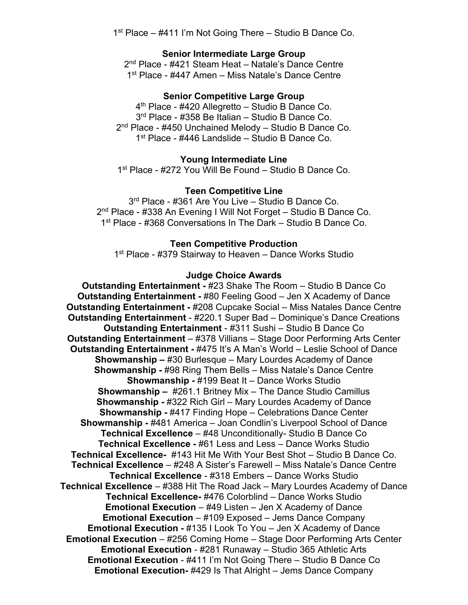1<sup>st</sup> Place – #411 I'm Not Going There – Studio B Dance Co.

## **Senior Intermediate Large Group**

2<sup>nd</sup> Place - #421 Steam Heat – Natale's Dance Centre 1<sup>st</sup> Place - #447 Amen - Miss Natale's Dance Centre

## **Senior Competitive Large Group**

4<sup>th</sup> Place - #420 Allegretto - Studio B Dance Co. 3rd Place - #358 Be Italian – Studio B Dance Co. 2<sup>nd</sup> Place - #450 Unchained Melody - Studio B Dance Co. 1st Place - #446 Landslide – Studio B Dance Co.

## **Young Intermediate Line**

1st Place - #272 You Will Be Found – Studio B Dance Co.

## **Teen Competitive Line**

3<sup>rd</sup> Place - #361 Are You Live - Studio B Dance Co. 2<sup>nd</sup> Place - #338 An Evening I Will Not Forget - Studio B Dance Co. 1st Place - #368 Conversations In The Dark – Studio B Dance Co.

#### **Teen Competitive Production**

1<sup>st</sup> Place - #379 Stairway to Heaven – Dance Works Studio

## **Judge Choice Awards**

**Outstanding Entertainment -** #23 Shake The Room – Studio B Dance Co **Outstanding Entertainment -** #80 Feeling Good – Jen X Academy of Dance **Outstanding Entertainment -** #208 Cupcake Social – Miss Natales Dance Centre **Outstanding Entertainment** - #220.1 Super Bad – Dominique's Dance Creations **Outstanding Entertainment** - #311 Sushi – Studio B Dance Co **Outstanding Entertainment** – #378 Villians – Stage Door Performing Arts Center **Outstanding Entertainment - #475 It's A Man's World – Leslie School of Dance Showmanship –** #30 Burlesque – Mary Lourdes Academy of Dance **Showmanship -** #98 Ring Them Bells – Miss Natale's Dance Centre **Showmanship -** #199 Beat It – Dance Works Studio **Showmanship –** #261.1 Britney Mix – The Dance Studio Camillus **Showmanship -** #322 Rich Girl – Mary Lourdes Academy of Dance **Showmanship -** #417 Finding Hope – Celebrations Dance Center **Showmanship -** #481 America – Joan Condlin's Liverpool School of Dance **Technical Excellence** – #48 Unconditionally- Studio B Dance Co **Technical Excellence -** #61 Less and Less – Dance Works Studio **Technical Excellence-** #143 Hit Me With Your Best Shot – Studio B Dance Co. **Technical Excellence** – #248 A Sister's Farewell – Miss Natale's Dance Centre **Technical Excellence** - #318 Embers – Dance Works Studio **Technical Excellence** – #388 Hit The Road Jack – Mary Lourdes Academy of Dance **Technical Excellence-** #476 Colorblind – Dance Works Studio **Emotional Execution** – #49 Listen – Jen X Academy of Dance **Emotional Execution** – #109 Exposed – Jems Dance Company **Emotional Execution -** #135 I Look To You – Jen X Academy of Dance **Emotional Execution** – #256 Coming Home – Stage Door Performing Arts Center **Emotional Execution** - #281 Runaway – Studio 365 Athletic Arts **Emotional Execution** - #411 I'm Not Going There – Studio B Dance Co **Emotional Execution-** #429 Is That Alright – Jems Dance Company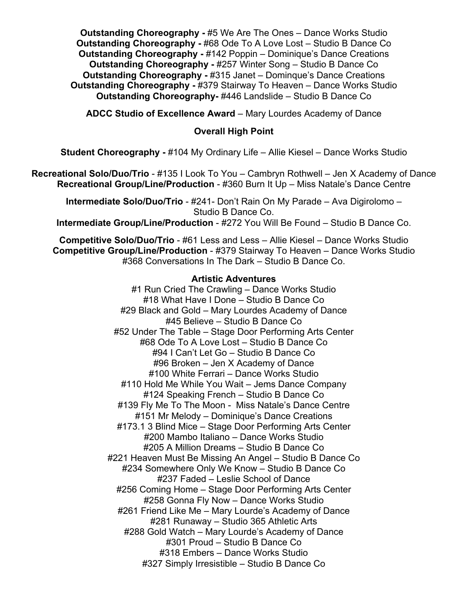**Outstanding Choreography -** #5 We Are The Ones – Dance Works Studio **Outstanding Choreography -** #68 Ode To A Love Lost – Studio B Dance Co **Outstanding Choreography -** #142 Poppin – Dominique's Dance Creations **Outstanding Choreography -** #257 Winter Song – Studio B Dance Co **Outstanding Choreography -** #315 Janet – Dominque's Dance Creations **Outstanding Choreography -** #379 Stairway To Heaven – Dance Works Studio **Outstanding Choreography-** #446 Landslide – Studio B Dance Co

**ADCC Studio of Excellence Award** – Mary Lourdes Academy of Dance

# **Overall High Point**

**Student Choreography -** #104 My Ordinary Life – Allie Kiesel – Dance Works Studio

**Recreational Solo/Duo/Trio** - #135 I Look To You – Cambryn Rothwell – Jen X Academy of Dance **Recreational Group/Line/Production** - #360 Burn It Up – Miss Natale's Dance Centre

**Intermediate Solo/Duo/Trio** - #241- Don't Rain On My Parade – Ava Digirolomo – Studio B Dance Co.

**Intermediate Group/Line/Production - #272 You Will Be Found - Studio B Dance Co.** 

**Competitive Solo/Duo/Trio** - #61 Less and Less – Allie Kiesel – Dance Works Studio **Competitive Group/Line/Production** - #379 Stairway To Heaven – Dance Works Studio #368 Conversations In The Dark – Studio B Dance Co.

# **Artistic Adventures**

#1 Run Cried The Crawling – Dance Works Studio #18 What Have I Done – Studio B Dance Co #29 Black and Gold – Mary Lourdes Academy of Dance #45 Believe – Studio B Dance Co #52 Under The Table – Stage Door Performing Arts Center #68 Ode To A Love Lost – Studio B Dance Co #94 I Can't Let Go – Studio B Dance Co #96 Broken – Jen X Academy of Dance #100 White Ferrari – Dance Works Studio #110 Hold Me While You Wait – Jems Dance Company #124 Speaking French – Studio B Dance Co #139 Fly Me To The Moon - Miss Natale's Dance Centre #151 Mr Melody – Dominique's Dance Creations #173.1 3 Blind Mice – Stage Door Performing Arts Center #200 Mambo Italiano – Dance Works Studio #205 A Million Dreams – Studio B Dance Co #221 Heaven Must Be Missing An Angel – Studio B Dance Co #234 Somewhere Only We Know – Studio B Dance Co #237 Faded – Leslie School of Dance #256 Coming Home – Stage Door Performing Arts Center #258 Gonna Fly Now – Dance Works Studio #261 Friend Like Me – Mary Lourde's Academy of Dance #281 Runaway – Studio 365 Athletic Arts #288 Gold Watch – Mary Lourde's Academy of Dance #301 Proud – Studio B Dance Co #318 Embers – Dance Works Studio #327 Simply Irresistible – Studio B Dance Co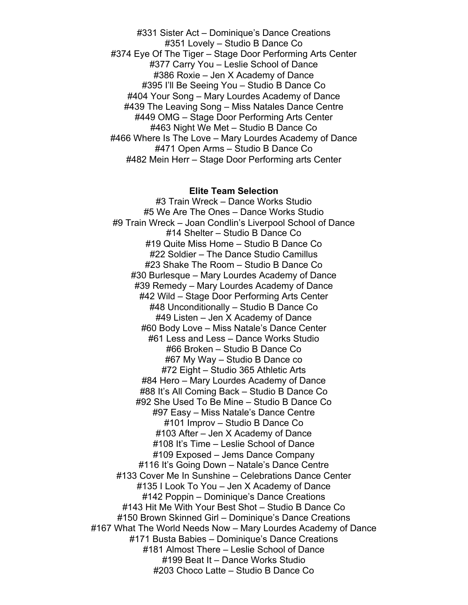#331 Sister Act – Dominique's Dance Creations #351 Lovely – Studio B Dance Co #374 Eye Of The Tiger – Stage Door Performing Arts Center #377 Carry You – Leslie School of Dance #386 Roxie – Jen X Academy of Dance #395 I'll Be Seeing You – Studio B Dance Co #404 Your Song – Mary Lourdes Academy of Dance #439 The Leaving Song – Miss Natales Dance Centre #449 OMG – Stage Door Performing Arts Center #463 Night We Met – Studio B Dance Co #466 Where Is The Love – Mary Lourdes Academy of Dance #471 Open Arms – Studio B Dance Co #482 Mein Herr – Stage Door Performing arts Center

#### **Elite Team Selection**

#3 Train Wreck – Dance Works Studio #5 We Are The Ones – Dance Works Studio #9 Train Wreck – Joan Condlin's Liverpool School of Dance #14 Shelter – Studio B Dance Co #19 Quite Miss Home – Studio B Dance Co #22 Soldier – The Dance Studio Camillus #23 Shake The Room – Studio B Dance Co #30 Burlesque – Mary Lourdes Academy of Dance #39 Remedy – Mary Lourdes Academy of Dance #42 Wild – Stage Door Performing Arts Center #48 Unconditionally – Studio B Dance Co #49 Listen – Jen X Academy of Dance #60 Body Love – Miss Natale's Dance Center #61 Less and Less – Dance Works Studio #66 Broken – Studio B Dance Co #67 My Way – Studio B Dance co #72 Eight – Studio 365 Athletic Arts #84 Hero – Mary Lourdes Academy of Dance #88 It's All Coming Back – Studio B Dance Co #92 She Used To Be Mine – Studio B Dance Co #97 Easy – Miss Natale's Dance Centre #101 Improv – Studio B Dance Co #103 After – Jen X Academy of Dance #108 It's Time – Leslie School of Dance #109 Exposed – Jems Dance Company #116 It's Going Down – Natale's Dance Centre #133 Cover Me In Sunshine – Celebrations Dance Center #135 I Look To You – Jen X Academy of Dance #142 Poppin – Dominique's Dance Creations #143 Hit Me With Your Best Shot – Studio B Dance Co #150 Brown Skinned Girl – Dominique's Dance Creations #167 What The World Needs Now – Mary Lourdes Academy of Dance #171 Busta Babies – Dominique's Dance Creations #181 Almost There – Leslie School of Dance #199 Beat It – Dance Works Studio #203 Choco Latte – Studio B Dance Co